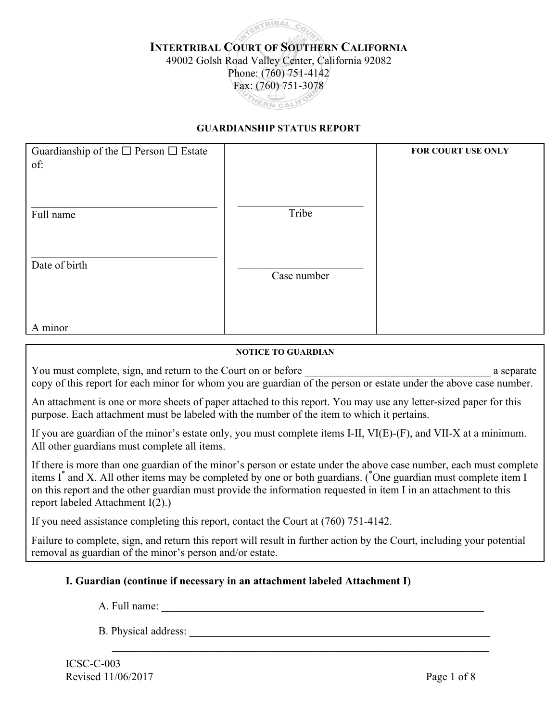# **TRIBAL INTERTRIBAL COURT OF SOUTHERN CALIFORNIA** 49002 Golsh Road Valley Center, California 92082 Phone: (760) 751-4142 Fax: (760) 751-3078 THERN CALIFO

#### **GUARDIANSHIP STATUS REPORT**

| Guardianship of the $\square$ Person $\square$ Estate<br>of: |             | FOR COURT USE ONLY |
|--------------------------------------------------------------|-------------|--------------------|
| Full name                                                    | Tribe       |                    |
| Date of birth                                                | Case number |                    |
| A minor                                                      |             |                    |

#### **NOTICE TO GUARDIAN**

You must complete, sign, and return to the Court on or before a separate a separate copy of this report for each minor for whom you are guardian of the person or estate under the above case number.

An attachment is one or more sheets of paper attached to this report. You may use any letter-sized paper for this purpose. Each attachment must be labeled with the number of the item to which it pertains.

If you are guardian of the minor's estate only, you must complete items I-II, VI(E)-(F), and VII-X at a minimum. All other guardians must complete all items.

If there is more than one guardian of the minor's person or estate under the above case number, each must complete items I<sup>\*</sup> and X. All other items may be completed by one or both guardians. (\*One guardian must complete item I on this report and the other guardian must provide the information requested in item I in an attachment to this report labeled Attachment I(2).)

If you need assistance completing this report, contact the Court at (760) 751-4142.

Failure to complete, sign, and return this report will result in further action by the Court, including your potential removal as guardian of the minor's person and/or estate.

#### **I. Guardian (continue if necessary in an attachment labeled Attachment I)**

A. Full name: \_\_\_\_\_\_\_\_\_\_\_\_\_\_\_\_\_\_\_\_\_\_\_\_\_\_\_\_\_\_\_\_\_\_\_\_\_\_\_\_\_\_\_\_\_\_\_\_\_\_\_\_\_\_\_\_\_\_\_

B. Physical address:

 $\mathcal{L}_\mathcal{L} = \mathcal{L}_\mathcal{L} = \mathcal{L}_\mathcal{L} = \mathcal{L}_\mathcal{L} = \mathcal{L}_\mathcal{L} = \mathcal{L}_\mathcal{L} = \mathcal{L}_\mathcal{L} = \mathcal{L}_\mathcal{L} = \mathcal{L}_\mathcal{L} = \mathcal{L}_\mathcal{L} = \mathcal{L}_\mathcal{L} = \mathcal{L}_\mathcal{L} = \mathcal{L}_\mathcal{L} = \mathcal{L}_\mathcal{L} = \mathcal{L}_\mathcal{L} = \mathcal{L}_\mathcal{L} = \mathcal{L}_\mathcal{L}$ 

ICSC-C-003 Revised 11/06/2017 Page 1 of 8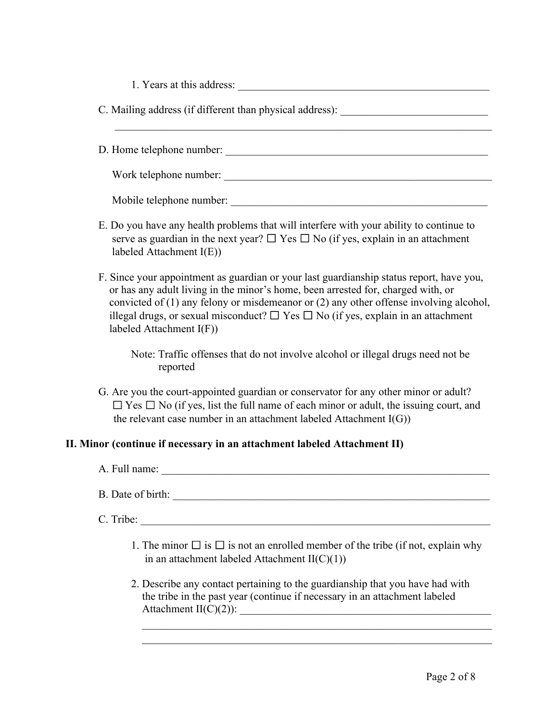| 1. Years at this address: |  |
|---------------------------|--|
|---------------------------|--|

| C. Mailing address (if different than physical address): |  |  |
|----------------------------------------------------------|--|--|
|                                                          |  |  |

D. Home telephone number:

 $\mathcal{L}_\text{max}$  , and the contribution of the contribution of the contribution of the contribution of the contribution of the contribution of the contribution of the contribution of the contribution of the contribution of t

Work telephone number:

Mobile telephone number:

- E. Do you have any health problems that will interfere with your ability to continue to serve as guardian in the next year?  $\Box$  Yes  $\Box$  No (if yes, explain in an attachment labeled Attachment I(E))
- F. Since your appointment as guardian or your last guardianship status report, have you, or has any adult living in the minor's home, been arrested for, charged with, or convicted of (1) any felony or misdemeanor or (2) any other offense involving alcohol, illegal drugs, or sexual misconduct?  $\Box$  Yes  $\Box$  No (if yes, explain in an attachment labeled Attachment I(F))

Note: Traffic offenses that do not involve alcohol or illegal drugs need not be reported

G. Are you the court-appointed guardian or conservator for any other minor or adult?  $\Box$  Yes  $\Box$  No (if yes, list the full name of each minor or adult, the issuing court, and the relevant case number in an attachment labeled Attachment  $I(G)$ )

### **II. Minor (continue if necessary in an attachment labeled Attachment II)**

| A. Full name: |
|---------------|
|---------------|

B. Date of birth:

C. Tribe: \_\_\_\_\_\_\_\_\_\_\_\_\_\_\_\_\_\_\_\_\_\_\_\_\_\_\_\_\_\_\_\_\_\_\_\_\_\_\_\_\_\_\_\_\_\_\_\_\_\_\_\_\_\_\_\_\_\_\_\_\_\_\_\_

- 1. The minor  $\Box$  is  $\Box$  is not an enrolled member of the tribe (if not, explain why in an attachment labeled Attachment II(C)(1))
- 2. Describe any contact pertaining to the guardianship that you have had with the tribe in the past year (continue if necessary in an attachment labeled Attachment  $II(C)(2)$ :

 $\mathcal{L}_\text{max} = \frac{1}{2} \sum_{i=1}^{n} \frac{1}{2} \sum_{i=1}^{n} \frac{1}{2} \sum_{i=1}^{n} \frac{1}{2} \sum_{i=1}^{n} \frac{1}{2} \sum_{i=1}^{n} \frac{1}{2} \sum_{i=1}^{n} \frac{1}{2} \sum_{i=1}^{n} \frac{1}{2} \sum_{i=1}^{n} \frac{1}{2} \sum_{i=1}^{n} \frac{1}{2} \sum_{i=1}^{n} \frac{1}{2} \sum_{i=1}^{n} \frac{1}{2} \sum_{i=1}^{n} \frac{1$  $\mathcal{L}_\text{max} = \frac{1}{2} \sum_{i=1}^n \mathcal{L}_\text{max}(\mathbf{z}_i - \mathbf{z}_i)$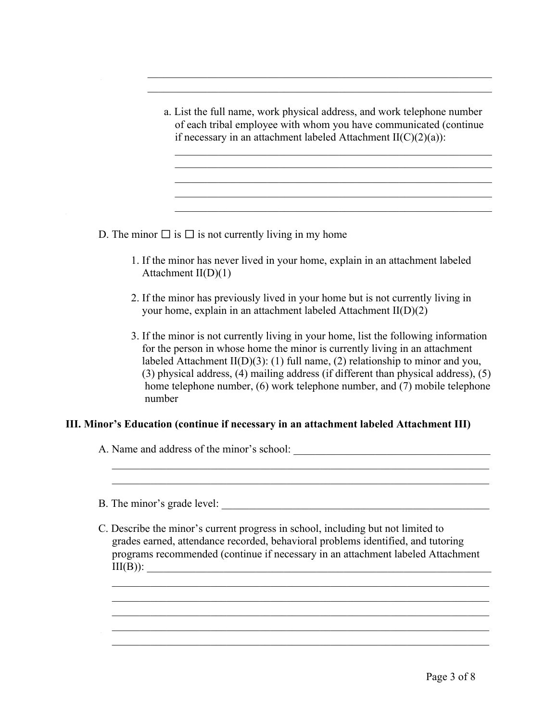a. List the full name, work physical address, and work telephone number of each tribal employee with whom you have communicated (continue if necessary in an attachment labeled Attachment  $II(C)(2)(a)$ :

 $\mathcal{L}_\text{max}$  and the contract of the contract of the contract of the contract of the contract of the contract of

 $\mathcal{L}_\text{max} = \frac{1}{2} \sum_{i=1}^{n} \frac{1}{2} \sum_{i=1}^{n} \frac{1}{2} \sum_{i=1}^{n} \frac{1}{2} \sum_{i=1}^{n} \frac{1}{2} \sum_{i=1}^{n} \frac{1}{2} \sum_{i=1}^{n} \frac{1}{2} \sum_{i=1}^{n} \frac{1}{2} \sum_{i=1}^{n} \frac{1}{2} \sum_{i=1}^{n} \frac{1}{2} \sum_{i=1}^{n} \frac{1}{2} \sum_{i=1}^{n} \frac{1}{2} \sum_{i=1}^{n} \frac{1$  $\mathcal{L}_\text{max} = \frac{1}{2} \sum_{i=1}^n \frac{1}{2} \sum_{i=1}^n \frac{1}{2} \sum_{i=1}^n \frac{1}{2} \sum_{i=1}^n \frac{1}{2} \sum_{i=1}^n \frac{1}{2} \sum_{i=1}^n \frac{1}{2} \sum_{i=1}^n \frac{1}{2} \sum_{i=1}^n \frac{1}{2} \sum_{i=1}^n \frac{1}{2} \sum_{i=1}^n \frac{1}{2} \sum_{i=1}^n \frac{1}{2} \sum_{i=1}^n \frac{1}{2} \sum_{i=1}^n$ 

 $\mathcal{L}_\text{max}$  , and the contract of the contract of the contract of the contract of the contract of the contract of the contract of the contract of the contract of the contract of the contract of the contract of the contr

 $\mathcal{L}_\text{max}$  , and the contract of the contract of the contract of the contract of the contract of the contract of  $\overline{\phantom{a}}$  ,  $\overline{\phantom{a}}$  ,  $\overline{\phantom{a}}$  ,  $\overline{\phantom{a}}$  ,  $\overline{\phantom{a}}$  ,  $\overline{\phantom{a}}$  ,  $\overline{\phantom{a}}$  ,  $\overline{\phantom{a}}$  ,  $\overline{\phantom{a}}$  ,  $\overline{\phantom{a}}$  ,  $\overline{\phantom{a}}$  ,  $\overline{\phantom{a}}$  ,  $\overline{\phantom{a}}$  ,  $\overline{\phantom{a}}$  ,  $\overline{\phantom{a}}$  ,  $\overline{\phantom{a}}$  $\mathcal{L}_\text{max} = \mathcal{L}_\text{max} = \mathcal{L}_\text{max} = \mathcal{L}_\text{max} = \mathcal{L}_\text{max} = \mathcal{L}_\text{max} = \mathcal{L}_\text{max} = \mathcal{L}_\text{max} = \mathcal{L}_\text{max} = \mathcal{L}_\text{max} = \mathcal{L}_\text{max} = \mathcal{L}_\text{max} = \mathcal{L}_\text{max} = \mathcal{L}_\text{max} = \mathcal{L}_\text{max} = \mathcal{L}_\text{max} = \mathcal{L}_\text{max} = \mathcal{L}_\text{max} = \mathcal{$ 

D. The minor  $\Box$  is  $\Box$  is not currently living in my home

- 1. If the minor has never lived in your home, explain in an attachment labeled Attachment  $II(D)(1)$
- 2. If the minor has previously lived in your home but is not currently living in your home, explain in an attachment labeled Attachment II(D)(2)
- 3. If the minor is not currently living in your home, list the following information for the person in whose home the minor is currently living in an attachment labeled Attachment II(D)(3): (1) full name, (2) relationship to minor and you, (3) physical address, (4) mailing address (if different than physical address), (5) home telephone number, (6) work telephone number, and (7) mobile telephone number

#### **III. Minor's Education (continue if necessary in an attachment labeled Attachment III)**

A. Name and address of the minor's school:

B. The minor's grade level:

C. Describe the minor's current progress in school, including but not limited to grades earned, attendance recorded, behavioral problems identified, and tutoring programs recommended (continue if necessary in an attachment labeled Attachment  $III(B))$ :

 $\frac{1}{2}$  ,  $\frac{1}{2}$  ,  $\frac{1}{2}$  ,  $\frac{1}{2}$  ,  $\frac{1}{2}$  ,  $\frac{1}{2}$  ,  $\frac{1}{2}$  ,  $\frac{1}{2}$  ,  $\frac{1}{2}$  ,  $\frac{1}{2}$  ,  $\frac{1}{2}$  ,  $\frac{1}{2}$  ,  $\frac{1}{2}$  ,  $\frac{1}{2}$  ,  $\frac{1}{2}$  ,  $\frac{1}{2}$  ,  $\frac{1}{2}$  ,  $\frac{1}{2}$  ,  $\frac{1$  $\frac{1}{2}$  ,  $\frac{1}{2}$  ,  $\frac{1}{2}$  ,  $\frac{1}{2}$  ,  $\frac{1}{2}$  ,  $\frac{1}{2}$  ,  $\frac{1}{2}$  ,  $\frac{1}{2}$  ,  $\frac{1}{2}$  ,  $\frac{1}{2}$  ,  $\frac{1}{2}$  ,  $\frac{1}{2}$  ,  $\frac{1}{2}$  ,  $\frac{1}{2}$  ,  $\frac{1}{2}$  ,  $\frac{1}{2}$  ,  $\frac{1}{2}$  ,  $\frac{1}{2}$  ,  $\frac{1$  $\mathcal{L} = \{ \mathcal{L} \mid \mathcal{L} \text{ and } \mathcal{L} \text{ and } \mathcal{L} \}$  $\mathcal{L} = \{ \mathcal{L} \mid \mathcal{L} \text{ and } \mathcal{L} \text{ and } \mathcal{L} \}$  $\mathcal{L}_\text{max}$  , and the contribution of the contribution of the contribution of the contribution of the contribution of the contribution of the contribution of the contribution of the contribution of the contribution of t

 $\mathcal{L} = \{ \mathcal{L} \mid \mathcal{L} \text{ and } \mathcal{L} \text{ and } \mathcal{L} \}$  $\mathcal{L}_\text{max}$  , and the contribution of the contribution of the contribution of the contribution of the contribution of the contribution of the contribution of the contribution of the contribution of the contribution of t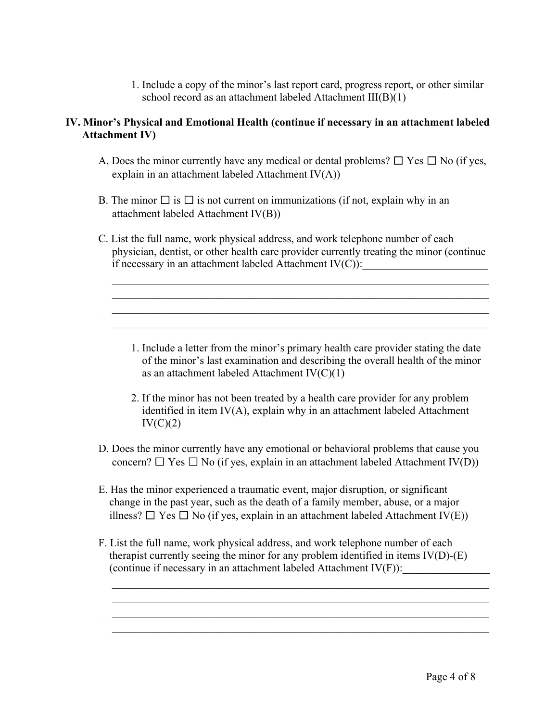1. Include a copy of the minor's last report card, progress report, or other similar school record as an attachment labeled Attachment III(B)(1)

### **IV. Minor's Physical and Emotional Health (continue if necessary in an attachment labeled Attachment IV)**

- A. Does the minor currently have any medical or dental problems?  $\Box$  Yes  $\Box$  No (if yes, explain in an attachment labeled Attachment IV(A))
- B. The minor  $\Box$  is  $\Box$  is not current on immunizations (if not, explain why in an attachment labeled Attachment IV(B))
- C. List the full name, work physical address, and work telephone number of each physician, dentist, or other health care provider currently treating the minor (continue if necessary in an attachment labeled Attachment  $IV(C)$ :

 $\mathcal{L} = \{ \mathcal{L} \mid \mathcal{L} \text{ and } \mathcal{L} \text{ and } \mathcal{L} \text{ and } \mathcal{L} \text{ and } \mathcal{L} \text{ and } \mathcal{L} \text{ and } \mathcal{L} \text{ and } \mathcal{L} \text{ and } \mathcal{L} \text{ and } \mathcal{L} \text{ and } \mathcal{L} \text{ and } \mathcal{L} \text{ and } \mathcal{L} \text{ and } \mathcal{L} \text{ and } \mathcal{L} \text{ and } \mathcal{L} \text{ and } \mathcal{L} \text{ and } \mathcal{L} \text{ and } \mathcal{L$  $\overline{\phantom{a}}$  ,  $\overline{\phantom{a}}$  ,  $\overline{\phantom{a}}$  ,  $\overline{\phantom{a}}$  ,  $\overline{\phantom{a}}$  ,  $\overline{\phantom{a}}$  ,  $\overline{\phantom{a}}$  ,  $\overline{\phantom{a}}$  ,  $\overline{\phantom{a}}$  ,  $\overline{\phantom{a}}$  ,  $\overline{\phantom{a}}$  ,  $\overline{\phantom{a}}$  ,  $\overline{\phantom{a}}$  ,  $\overline{\phantom{a}}$  ,  $\overline{\phantom{a}}$  ,  $\overline{\phantom{a}}$  $\mathcal{L} = \{ \mathcal{L} = \{ \mathcal{L} \} \cup \{ \mathcal{L} \} \cup \{ \mathcal{L} \} \cup \{ \mathcal{L} \} \cup \{ \mathcal{L} \} \cup \{ \mathcal{L} \} \cup \{ \mathcal{L} \} \cup \{ \mathcal{L} \} \cup \{ \mathcal{L} \} \cup \{ \mathcal{L} \} \cup \{ \mathcal{L} \} \cup \{ \mathcal{L} \} \cup \{ \mathcal{L} \} \cup \{ \mathcal{L} \} \cup \{ \mathcal{L} \} \cup \{ \mathcal{L} \} \cup \{ \mathcal{L} \} \cup$  $\mathcal{L}_\text{max}$  , and the contribution of the contribution of the contribution of the contribution of the contribution of the contribution of the contribution of the contribution of the contribution of the contribution of t

- 1. Include a letter from the minor's primary health care provider stating the date of the minor's last examination and describing the overall health of the minor as an attachment labeled Attachment IV(C)(1)
- 2. If the minor has not been treated by a health care provider for any problem identified in item IV(A), explain why in an attachment labeled Attachment  $IV(C)(2)$
- D. Does the minor currently have any emotional or behavioral problems that cause you concern?  $\Box$  Yes  $\Box$  No (if yes, explain in an attachment labeled Attachment IV(D))
- E. Has the minor experienced a traumatic event, major disruption, or significant change in the past year, such as the death of a family member, abuse, or a major illness?  $\Box$  Yes  $\Box$  No (if yes, explain in an attachment labeled Attachment IV(E))
- F. List the full name, work physical address, and work telephone number of each therapist currently seeing the minor for any problem identified in items IV(D)-(E) (continue if necessary in an attachment labeled Attachment  $IV(F)$ ):

 $\frac{1}{2}$  ,  $\frac{1}{2}$  ,  $\frac{1}{2}$  ,  $\frac{1}{2}$  ,  $\frac{1}{2}$  ,  $\frac{1}{2}$  ,  $\frac{1}{2}$  ,  $\frac{1}{2}$  ,  $\frac{1}{2}$  ,  $\frac{1}{2}$  ,  $\frac{1}{2}$  ,  $\frac{1}{2}$  ,  $\frac{1}{2}$  ,  $\frac{1}{2}$  ,  $\frac{1}{2}$  ,  $\frac{1}{2}$  ,  $\frac{1}{2}$  ,  $\frac{1}{2}$  ,  $\frac{1$  $\overline{\phantom{a}}$  ,  $\overline{\phantom{a}}$  ,  $\overline{\phantom{a}}$  ,  $\overline{\phantom{a}}$  ,  $\overline{\phantom{a}}$  ,  $\overline{\phantom{a}}$  ,  $\overline{\phantom{a}}$  ,  $\overline{\phantom{a}}$  ,  $\overline{\phantom{a}}$  ,  $\overline{\phantom{a}}$  ,  $\overline{\phantom{a}}$  ,  $\overline{\phantom{a}}$  ,  $\overline{\phantom{a}}$  ,  $\overline{\phantom{a}}$  ,  $\overline{\phantom{a}}$  ,  $\overline{\phantom{a}}$  $\frac{1}{2}$  ,  $\frac{1}{2}$  ,  $\frac{1}{2}$  ,  $\frac{1}{2}$  ,  $\frac{1}{2}$  ,  $\frac{1}{2}$  ,  $\frac{1}{2}$  ,  $\frac{1}{2}$  ,  $\frac{1}{2}$  ,  $\frac{1}{2}$  ,  $\frac{1}{2}$  ,  $\frac{1}{2}$  ,  $\frac{1}{2}$  ,  $\frac{1}{2}$  ,  $\frac{1}{2}$  ,  $\frac{1}{2}$  ,  $\frac{1}{2}$  ,  $\frac{1}{2}$  ,  $\frac{1$  $\mathcal{L}_\text{max}$  , and the contribution of the contribution of the contribution of the contribution of the contribution of the contribution of the contribution of the contribution of the contribution of the contribution of t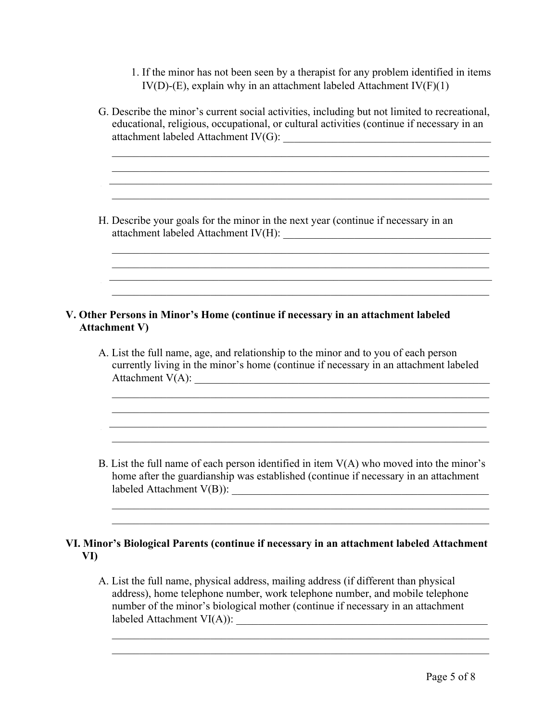1. If the minor has not been seen by a therapist for any problem identified in items IV(D)-(E), explain why in an attachment labeled Attachment IV(F)(1)

| G. Describe the minor's current social activities, including but not limited to recreational,<br>educational, religious, occupational, or cultural activities (continue if necessary in an                                                                                                                                                                                                                                              |
|-----------------------------------------------------------------------------------------------------------------------------------------------------------------------------------------------------------------------------------------------------------------------------------------------------------------------------------------------------------------------------------------------------------------------------------------|
| H. Describe your goals for the minor in the next year (continue if necessary in an<br>attachment labeled Attachment IV(H):                                                                                                                                                                                                                                                                                                              |
| V. Other Persons in Minor's Home (continue if necessary in an attachment labeled<br><b>Attachment V)</b><br>A. List the full name, age, and relationship to the minor and to you of each person<br>currently living in the minor's home (continue if necessary in an attachment labeled<br>Attachment $V(A)$ :<br><u> 1980 - Jan Sterling von Berling von Berling von Berling von Berling von Berling von Berling von Berling von B</u> |
|                                                                                                                                                                                                                                                                                                                                                                                                                                         |

A. List the full name, physical address, mailing address (if different than physical address), home telephone number, work telephone number, and mobile telephone number of the minor's biological mother (continue if necessary in an attachment labeled Attachment  $VI(A)$ :

 $\mathcal{L} = \{ \mathcal{L} \mid \mathcal{L} \text{ and } \mathcal{L} \text{ and } \mathcal{L} \}$  $\mathcal{L}_\text{max} = \mathcal{L}_\text{max} = \mathcal{L}_\text{max} = \mathcal{L}_\text{max} = \mathcal{L}_\text{max} = \mathcal{L}_\text{max} = \mathcal{L}_\text{max} = \mathcal{L}_\text{max} = \mathcal{L}_\text{max} = \mathcal{L}_\text{max} = \mathcal{L}_\text{max} = \mathcal{L}_\text{max} = \mathcal{L}_\text{max} = \mathcal{L}_\text{max} = \mathcal{L}_\text{max} = \mathcal{L}_\text{max} = \mathcal{L}_\text{max} = \mathcal{L}_\text{max} = \mathcal{$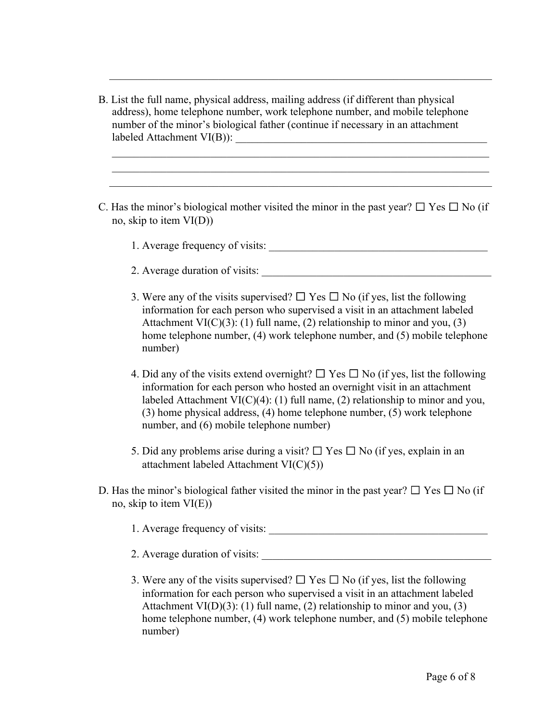B. List the full name, physical address, mailing address (if different than physical address), home telephone number, work telephone number, and mobile telephone number of the minor's biological father (continue if necessary in an attachment labeled Attachment VI(B)):

 $\mathcal{L}_\text{max}$  , and the contribution of the contribution of the contribution of the contribution of the contribution of the contribution of the contribution of the contribution of the contribution of the contribution of t

C. Has the minor's biological mother visited the minor in the past year?  $\Box$  Yes  $\Box$  No (if no, skip to item VI(D))

 $\frac{1}{2}$  ,  $\frac{1}{2}$  ,  $\frac{1}{2}$  ,  $\frac{1}{2}$  ,  $\frac{1}{2}$  ,  $\frac{1}{2}$  ,  $\frac{1}{2}$  ,  $\frac{1}{2}$  ,  $\frac{1}{2}$  ,  $\frac{1}{2}$  ,  $\frac{1}{2}$  ,  $\frac{1}{2}$  ,  $\frac{1}{2}$  ,  $\frac{1}{2}$  ,  $\frac{1}{2}$  ,  $\frac{1}{2}$  ,  $\frac{1}{2}$  ,  $\frac{1}{2}$  ,  $\frac{1$  $\frac{1}{2}$  ,  $\frac{1}{2}$  ,  $\frac{1}{2}$  ,  $\frac{1}{2}$  ,  $\frac{1}{2}$  ,  $\frac{1}{2}$  ,  $\frac{1}{2}$  ,  $\frac{1}{2}$  ,  $\frac{1}{2}$  ,  $\frac{1}{2}$  ,  $\frac{1}{2}$  ,  $\frac{1}{2}$  ,  $\frac{1}{2}$  ,  $\frac{1}{2}$  ,  $\frac{1}{2}$  ,  $\frac{1}{2}$  ,  $\frac{1}{2}$  ,  $\frac{1}{2}$  ,  $\frac{1$  $\mathcal{L}_\text{max}$  , and the contribution of the contribution of the contribution of the contribution of the contribution of the contribution of the contribution of the contribution of the contribution of the contribution of t

- 1. Average frequency of visits:
- 2. Average duration of visits:
- 3. Were any of the visits supervised?  $\Box$  Yes  $\Box$  No (if yes, list the following information for each person who supervised a visit in an attachment labeled Attachment VI(C)(3): (1) full name, (2) relationship to minor and you, (3) home telephone number, (4) work telephone number, and (5) mobile telephone number)
- 4. Did any of the visits extend overnight?  $\Box$  Yes  $\Box$  No (if yes, list the following information for each person who hosted an overnight visit in an attachment labeled Attachment VI(C)(4): (1) full name, (2) relationship to minor and you, (3) home physical address, (4) home telephone number, (5) work telephone number, and (6) mobile telephone number)
- 5. Did any problems arise during a visit?  $\Box$  Yes  $\Box$  No (if yes, explain in an attachment labeled Attachment VI(C)(5))
- D. Has the minor's biological father visited the minor in the past year?  $\Box$  Yes  $\Box$  No (if no, skip to item  $VI(E)$ 
	- 1. Average frequency of visits: \_\_\_\_\_\_\_\_\_\_\_\_\_\_\_\_\_\_\_\_\_\_\_\_\_\_\_\_\_\_\_\_\_\_\_\_\_\_\_\_
	- 2. Average duration of visits:
	- 3. Were any of the visits supervised?  $\Box$  Yes  $\Box$  No (if yes, list the following information for each person who supervised a visit in an attachment labeled Attachment VI(D)(3): (1) full name, (2) relationship to minor and you, (3) home telephone number, (4) work telephone number, and (5) mobile telephone number)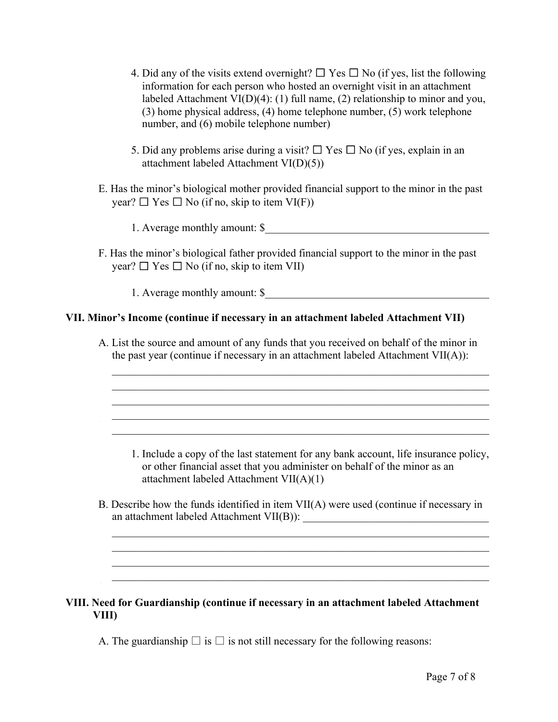- 4. Did any of the visits extend overnight?  $\Box$  Yes  $\Box$  No (if yes, list the following information for each person who hosted an overnight visit in an attachment labeled Attachment VI(D)(4): (1) full name, (2) relationship to minor and you, (3) home physical address, (4) home telephone number, (5) work telephone number, and (6) mobile telephone number)
- 5. Did any problems arise during a visit?  $\Box$  Yes  $\Box$  No (if yes, explain in an attachment labeled Attachment VI(D)(5))
- E. Has the minor's biological mother provided financial support to the minor in the past year?  $\Box$  Yes  $\Box$  No (if no, skip to item VI(F))
	- 1. Average monthly amount: \$
- F. Has the minor's biological father provided financial support to the minor in the past year?  $\Box$  Yes  $\Box$  No (if no, skip to item VII)

1. Average monthly amount: \$

### **VII. Minor's Income (continue if necessary in an attachment labeled Attachment VII)**

A. List the source and amount of any funds that you received on behalf of the minor in the past year (continue if necessary in an attachment labeled Attachment VII(A)):

 $\frac{1}{2}$  ,  $\frac{1}{2}$  ,  $\frac{1}{2}$  ,  $\frac{1}{2}$  ,  $\frac{1}{2}$  ,  $\frac{1}{2}$  ,  $\frac{1}{2}$  ,  $\frac{1}{2}$  ,  $\frac{1}{2}$  ,  $\frac{1}{2}$  ,  $\frac{1}{2}$  ,  $\frac{1}{2}$  ,  $\frac{1}{2}$  ,  $\frac{1}{2}$  ,  $\frac{1}{2}$  ,  $\frac{1}{2}$  ,  $\frac{1}{2}$  ,  $\frac{1}{2}$  ,  $\frac{1$  $\frac{1}{2}$  ,  $\frac{1}{2}$  ,  $\frac{1}{2}$  ,  $\frac{1}{2}$  ,  $\frac{1}{2}$  ,  $\frac{1}{2}$  ,  $\frac{1}{2}$  ,  $\frac{1}{2}$  ,  $\frac{1}{2}$  ,  $\frac{1}{2}$  ,  $\frac{1}{2}$  ,  $\frac{1}{2}$  ,  $\frac{1}{2}$  ,  $\frac{1}{2}$  ,  $\frac{1}{2}$  ,  $\frac{1}{2}$  ,  $\frac{1}{2}$  ,  $\frac{1}{2}$  ,  $\frac{1$  $\frac{1}{2}$  ,  $\frac{1}{2}$  ,  $\frac{1}{2}$  ,  $\frac{1}{2}$  ,  $\frac{1}{2}$  ,  $\frac{1}{2}$  ,  $\frac{1}{2}$  ,  $\frac{1}{2}$  ,  $\frac{1}{2}$  ,  $\frac{1}{2}$  ,  $\frac{1}{2}$  ,  $\frac{1}{2}$  ,  $\frac{1}{2}$  ,  $\frac{1}{2}$  ,  $\frac{1}{2}$  ,  $\frac{1}{2}$  ,  $\frac{1}{2}$  ,  $\frac{1}{2}$  ,  $\frac{1$  $\mathcal{L}_\text{max}$  , and the contract of the contract of the contract of the contract of the contract of the contract of the contract of the contract of the contract of the contract of the contract of the contract of the contr  $\mathcal{L}_\text{max} = \mathcal{L}_\text{max} = \mathcal{L}_\text{max} = \mathcal{L}_\text{max} = \mathcal{L}_\text{max} = \mathcal{L}_\text{max} = \mathcal{L}_\text{max} = \mathcal{L}_\text{max} = \mathcal{L}_\text{max} = \mathcal{L}_\text{max} = \mathcal{L}_\text{max} = \mathcal{L}_\text{max} = \mathcal{L}_\text{max} = \mathcal{L}_\text{max} = \mathcal{L}_\text{max} = \mathcal{L}_\text{max} = \mathcal{L}_\text{max} = \mathcal{L}_\text{max} = \mathcal{$ 

- 1. Include a copy of the last statement for any bank account, life insurance policy, or other financial asset that you administer on behalf of the minor as an attachment labeled Attachment VII(A)(1)
- B. Describe how the funds identified in item VII(A) were used (continue if necessary in an attachment labeled Attachment VII(B)): \_\_\_\_\_\_\_\_\_\_\_\_\_\_\_\_\_\_\_\_\_\_\_\_\_\_\_\_\_\_\_\_\_\_

 $\mathcal{L} = \{ \mathcal{L} \mid \mathcal{L} \text{ and } \mathcal{L} \text{ and } \mathcal{L} \}$  $\mathcal{L} = \{ \mathcal{L} \mid \mathcal{L} \text{ and } \mathcal{L} \text{ and } \mathcal{L} \}$  $\overline{\phantom{a}}$  , and the contribution of the contribution of the contribution of the contribution of the contribution of the contribution of the contribution of the contribution of the contribution of the contribution of the  $\mathcal{L} = \{ \mathcal{L} = \{ \mathcal{L} \} \cup \{ \mathcal{L} \} \cup \{ \mathcal{L} \} \cup \{ \mathcal{L} \} \cup \{ \mathcal{L} \} \cup \{ \mathcal{L} \} \cup \{ \mathcal{L} \} \cup \{ \mathcal{L} \} \cup \{ \mathcal{L} \} \cup \{ \mathcal{L} \} \cup \{ \mathcal{L} \} \cup \{ \mathcal{L} \} \cup \{ \mathcal{L} \} \cup \{ \mathcal{L} \} \cup \{ \mathcal{L} \} \cup \{ \mathcal{L} \} \cup \{ \mathcal{L} \} \cup$ 

#### **VIII. Need for Guardianship (continue if necessary in an attachment labeled Attachment VIII)**

A. The guardianship  $\Box$  is  $\Box$  is not still necessary for the following reasons: